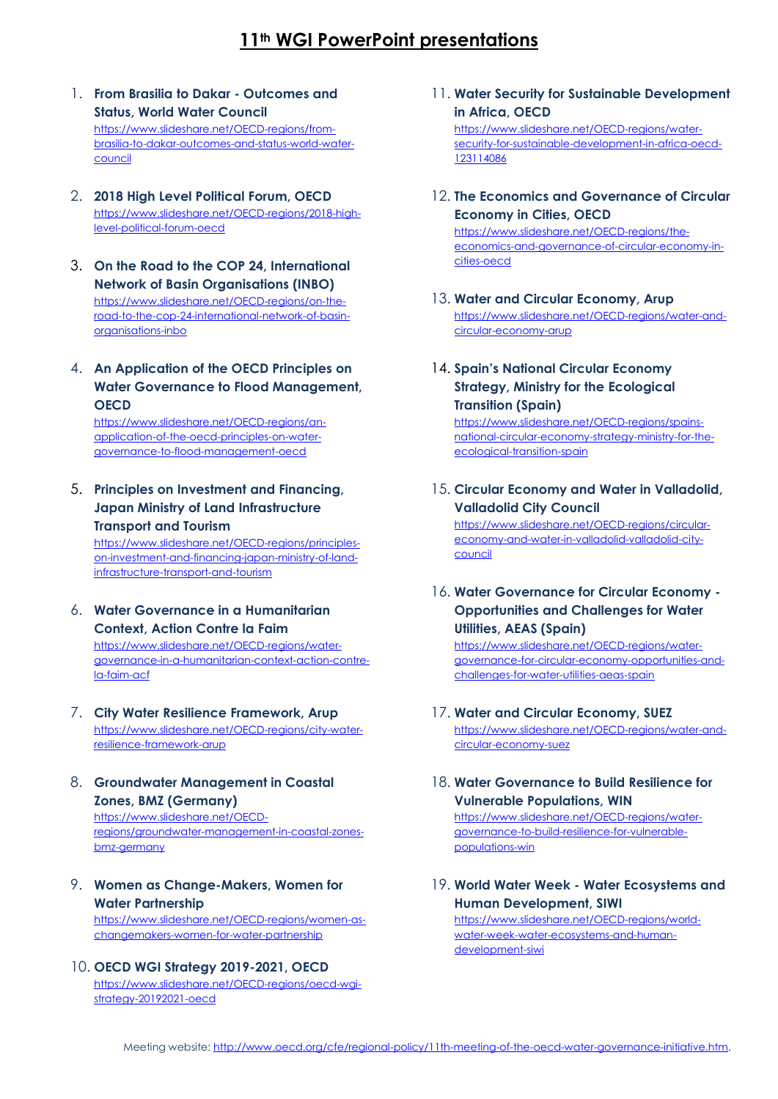# **11th WGI PowerPoint presentations**

- 1. **From Brasilia to Dakar - Outcomes and Status, World Water Council** [https://www.slideshare.net/OECD-regions/from](https://www.slideshare.net/OECD-regions/from-brasilia-to-dakar-outcomes-and-status-world-water-council)[brasilia-to-dakar-outcomes-and-status-world-water](https://www.slideshare.net/OECD-regions/from-brasilia-to-dakar-outcomes-and-status-world-water-council)[council](https://www.slideshare.net/OECD-regions/from-brasilia-to-dakar-outcomes-and-status-world-water-council)
- 2. **2018 High Level Political Forum, OECD** [https://www.slideshare.net/OECD-regions/2018-high](https://www.slideshare.net/OECD-regions/2018-high-level-political-forum-oecd)[level-political-forum-oecd](https://www.slideshare.net/OECD-regions/2018-high-level-political-forum-oecd)
- 3. **On the Road to the COP 24, International Network of Basin Organisations (INBO)** [https://www.slideshare.net/OECD-regions/on-the](https://www.slideshare.net/OECD-regions/on-the-road-to-the-cop-24-international-network-of-basin-organisations-inbo)[road-to-the-cop-24-international-network-of-basin](https://www.slideshare.net/OECD-regions/on-the-road-to-the-cop-24-international-network-of-basin-organisations-inbo)[organisations-inbo](https://www.slideshare.net/OECD-regions/on-the-road-to-the-cop-24-international-network-of-basin-organisations-inbo)
- 4. **An Application of the OECD Principles on Water Governance to Flood Management, OECD**

[https://www.slideshare.net/OECD-regions/an](https://www.slideshare.net/OECD-regions/an-application-of-the-oecd-principles-on-water-governance-to-flood-management-oecd)[application-of-the-oecd-principles-on-water](https://www.slideshare.net/OECD-regions/an-application-of-the-oecd-principles-on-water-governance-to-flood-management-oecd)[governance-to-flood-management-oecd](https://www.slideshare.net/OECD-regions/an-application-of-the-oecd-principles-on-water-governance-to-flood-management-oecd)

5. **Principles on Investment and Financing, Japan Ministry of Land Infrastructure Transport and Tourism**

[https://www.slideshare.net/OECD-regions/principles](https://www.slideshare.net/OECD-regions/principles-on-investment-and-financing-japan-ministry-of-land-infrastructure-transport-and-tourism)[on-investment-and-financing-japan-ministry-of-land](https://www.slideshare.net/OECD-regions/principles-on-investment-and-financing-japan-ministry-of-land-infrastructure-transport-and-tourism)[infrastructure-transport-and-tourism](https://www.slideshare.net/OECD-regions/principles-on-investment-and-financing-japan-ministry-of-land-infrastructure-transport-and-tourism)

6. **Water Governance in a Humanitarian Context, Action Contre la Faim**

[https://www.slideshare.net/OECD-regions/water](https://www.slideshare.net/OECD-regions/water-governance-in-a-humanitarian-context-action-contre-la-faim-acf)[governance-in-a-humanitarian-context-action-contre](https://www.slideshare.net/OECD-regions/water-governance-in-a-humanitarian-context-action-contre-la-faim-acf)[la-faim-acf](https://www.slideshare.net/OECD-regions/water-governance-in-a-humanitarian-context-action-contre-la-faim-acf)

- 7. **City Water Resilience Framework, Arup** [https://www.slideshare.net/OECD-regions/city-water](https://www.slideshare.net/OECD-regions/city-water-resilience-framework-arup)[resilience-framework-arup](https://www.slideshare.net/OECD-regions/city-water-resilience-framework-arup)
- 8. **Groundwater Management in Coastal Zones, BMZ (Germany)**

[https://www.slideshare.net/OECD](https://www.slideshare.net/OECD-regions/groundwater-management-in-coastal-zones-bmz-germany)[regions/groundwater-management-in-coastal-zones](https://www.slideshare.net/OECD-regions/groundwater-management-in-coastal-zones-bmz-germany)[bmz-germany](https://www.slideshare.net/OECD-regions/groundwater-management-in-coastal-zones-bmz-germany)

### 9. **Women as Change-Makers, Women for Water Partnership**

[https://www.slideshare.net/OECD-regions/women-as](https://www.slideshare.net/OECD-regions/women-as-changemakers-women-for-water-partnership)[changemakers-women-for-water-partnership](https://www.slideshare.net/OECD-regions/women-as-changemakers-women-for-water-partnership)

10. **OECD WGI Strategy 2019-2021, OECD** [https://www.slideshare.net/OECD-regions/oecd-wgi](https://www.slideshare.net/OECD-regions/oecd-wgi-strategy-20192021-oecd)[strategy-20192021-oecd](https://www.slideshare.net/OECD-regions/oecd-wgi-strategy-20192021-oecd)

11. **Water Security for Sustainable Development in Africa, OECD**

[https://www.slideshare.net/OECD-regions/water](https://www.slideshare.net/OECD-regions/water-security-for-sustainable-development-in-africa-oecd-123114086)[security-for-sustainable-development-in-africa-oecd-](https://www.slideshare.net/OECD-regions/water-security-for-sustainable-development-in-africa-oecd-123114086)[123114086](https://www.slideshare.net/OECD-regions/water-security-for-sustainable-development-in-africa-oecd-123114086)

12. **The Economics and Governance of Circular Economy in Cities, OECD**

[https://www.slideshare.net/OECD-regions/the](https://www.slideshare.net/OECD-regions/the-economics-and-governance-of-circular-economy-in-cities-oecd)[economics-and-governance-of-circular-economy-in](https://www.slideshare.net/OECD-regions/the-economics-and-governance-of-circular-economy-in-cities-oecd)[cities-oecd](https://www.slideshare.net/OECD-regions/the-economics-and-governance-of-circular-economy-in-cities-oecd)

- 13. **Water and Circular Economy, Arup** [https://www.slideshare.net/OECD-regions/water-and](https://www.slideshare.net/OECD-regions/water-and-circular-economy-arup)[circular-economy-arup](https://www.slideshare.net/OECD-regions/water-and-circular-economy-arup)
- 14. **Spain's National Circular Economy Strategy, Ministry for the Ecological Transition (Spain)**

[https://www.slideshare.net/OECD-regions/spains](https://www.slideshare.net/OECD-regions/spains-national-circular-economy-strategy-ministry-for-the-ecological-transition-spain)[national-circular-economy-strategy-ministry-for-the](https://www.slideshare.net/OECD-regions/spains-national-circular-economy-strategy-ministry-for-the-ecological-transition-spain)[ecological-transition-spain](https://www.slideshare.net/OECD-regions/spains-national-circular-economy-strategy-ministry-for-the-ecological-transition-spain)

15. **Circular Economy and Water in Valladolid, Valladolid City Council**

[https://www.slideshare.net/OECD-regions/circular](https://www.slideshare.net/OECD-regions/circular-economy-and-water-in-valladolid-valladolid-city-council)[economy-and-water-in-valladolid-valladolid-city](https://www.slideshare.net/OECD-regions/circular-economy-and-water-in-valladolid-valladolid-city-council)[council](https://www.slideshare.net/OECD-regions/circular-economy-and-water-in-valladolid-valladolid-city-council)

16. **Water Governance for Circular Economy - Opportunities and Challenges for Water Utilities, AEAS (Spain)**

[https://www.slideshare.net/OECD-regions/water](https://www.slideshare.net/OECD-regions/water-governance-for-circular-economy-opportunities-and-challenges-for-water-utilities-aeas-spain)[governance-for-circular-economy-opportunities-and](https://www.slideshare.net/OECD-regions/water-governance-for-circular-economy-opportunities-and-challenges-for-water-utilities-aeas-spain)[challenges-for-water-utilities-aeas-spain](https://www.slideshare.net/OECD-regions/water-governance-for-circular-economy-opportunities-and-challenges-for-water-utilities-aeas-spain)

- 17. **Water and Circular Economy, SUEZ** [https://www.slideshare.net/OECD-regions/water-and](https://www.slideshare.net/OECD-regions/water-and-circular-economy-suez)[circular-economy-suez](https://www.slideshare.net/OECD-regions/water-and-circular-economy-suez)
- 18. **Water Governance to Build Resilience for Vulnerable Populations, WIN**

[https://www.slideshare.net/OECD-regions/water](https://www.slideshare.net/OECD-regions/water-governance-to-build-resilience-for-vulnerable-populations-win)[governance-to-build-resilience-for-vulnerable](https://www.slideshare.net/OECD-regions/water-governance-to-build-resilience-for-vulnerable-populations-win)[populations-win](https://www.slideshare.net/OECD-regions/water-governance-to-build-resilience-for-vulnerable-populations-win)

19. **World Water Week - Water Ecosystems and Human Development, SIWI**

[https://www.slideshare.net/OECD-regions/world](https://www.slideshare.net/OECD-regions/world-water-week-water-ecosystems-and-human-development-siwi)[water-week-water-ecosystems-and-human](https://www.slideshare.net/OECD-regions/world-water-week-water-ecosystems-and-human-development-siwi)[development-siwi](https://www.slideshare.net/OECD-regions/world-water-week-water-ecosystems-and-human-development-siwi)